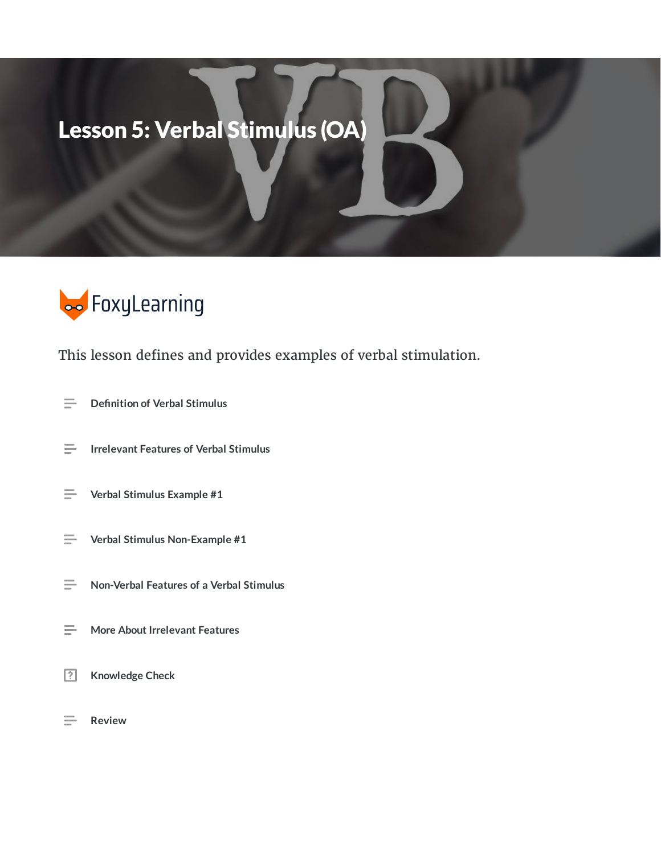# Lesson 5: Verbal Stimulus (OA)



This lesson defines and provides examples of verbal stimulation.

- $\equiv$ **Definition of Verbal Stimulus**
- $\equiv$ **Irrelevant Features of Verbal Stimulus**
- $\equiv$ **Verbal Stimulus Example #1**
- $\equiv$ **Verbal Stimulus Non-Example #1**
- $\equiv$ **Non-Verbal Features of a Verbal Stimulus**
- $\equiv$ **More About Irrelevant Features**
- $\boxed{?}$ **Knowledge Check**
- $\equiv$ **Review**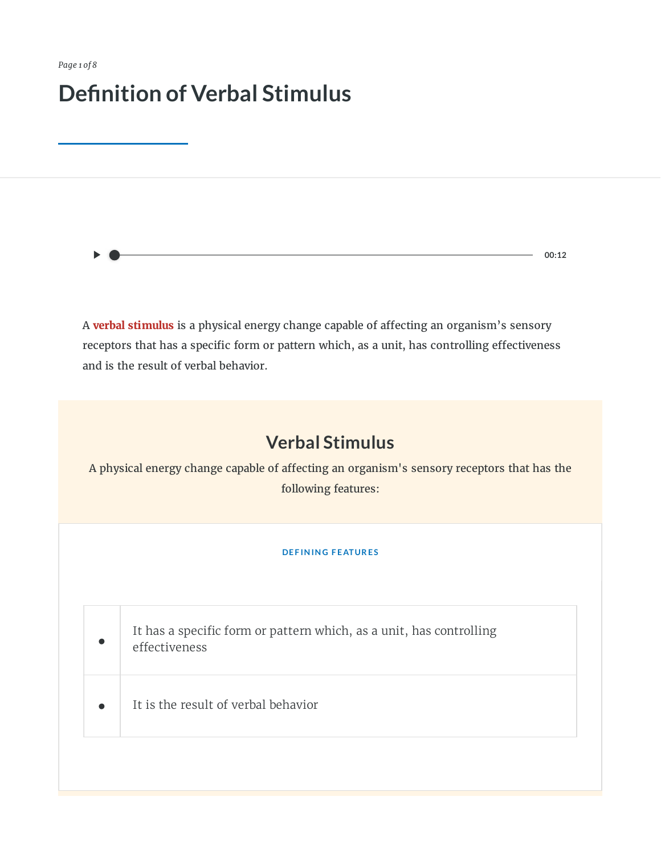## **Definition of Verbal Stimulus**

**00:12**

A **verbal stimulus** is a physical energy change capable of affecting an organism's sensory receptors that has a specific form or pattern which, as a unit, has controlling effectiveness and is the result of verbal behavior.

## **Verbal Stimulus**

A physical energy change capable of affecting an organism's sensory receptors that has the following features:

#### **DE F IN IN G F E ATUR E S**

**•** It has a specific form or pattern which, as a unit, has controlling effectiveness

**•** It is the result of verbal behavior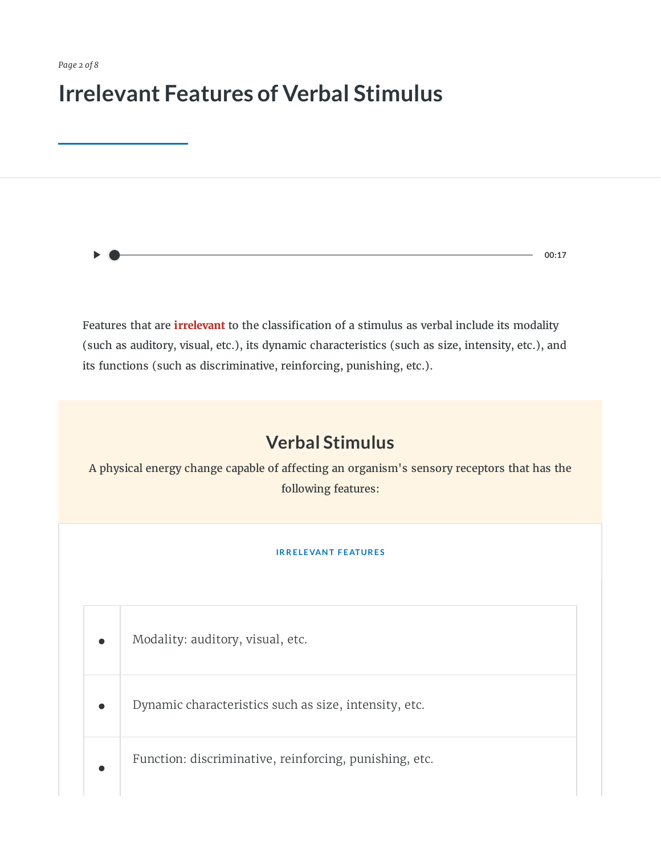## **Irrelevant Features of Verbal Stimulus**

**00:17**

Features that are *irrelevant* to the classification of a stimulus as verbal include its modality (such as auditory, visual, etc.), its dynamic characteristics (such as size, intensity, etc.), and its functions (such as discriminative, reinforcing, punishing, etc.).

#### **Verbal Stimulus**

A physical energy change capable of affecting an organism's sensory receptors that has the following features:

#### **IR R E LE VAN T F E ATUR E S**

| Modality: auditory, visual, etc.                       |
|--------------------------------------------------------|
| Dynamic characteristics such as size, intensity, etc.  |
| Function: discriminative, reinforcing, punishing, etc. |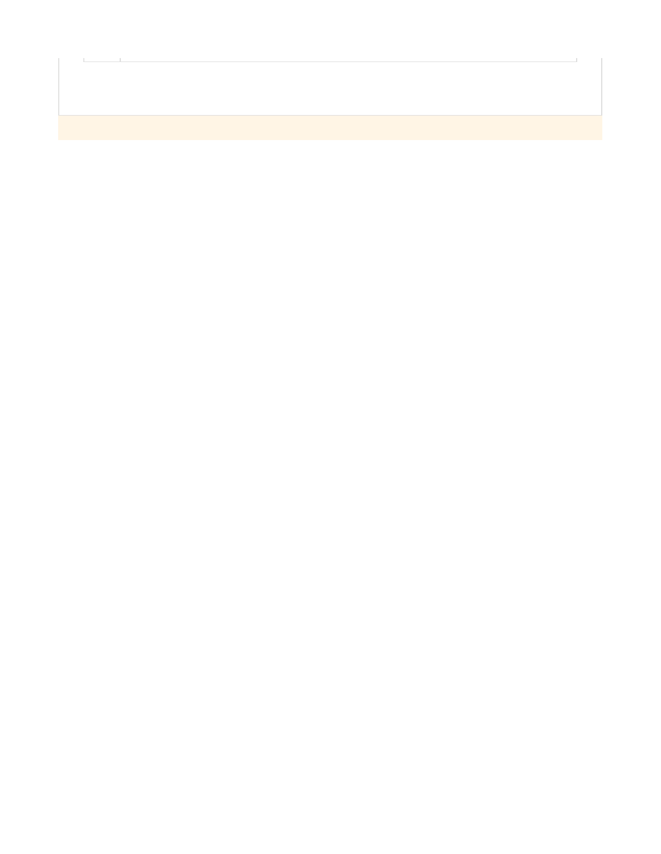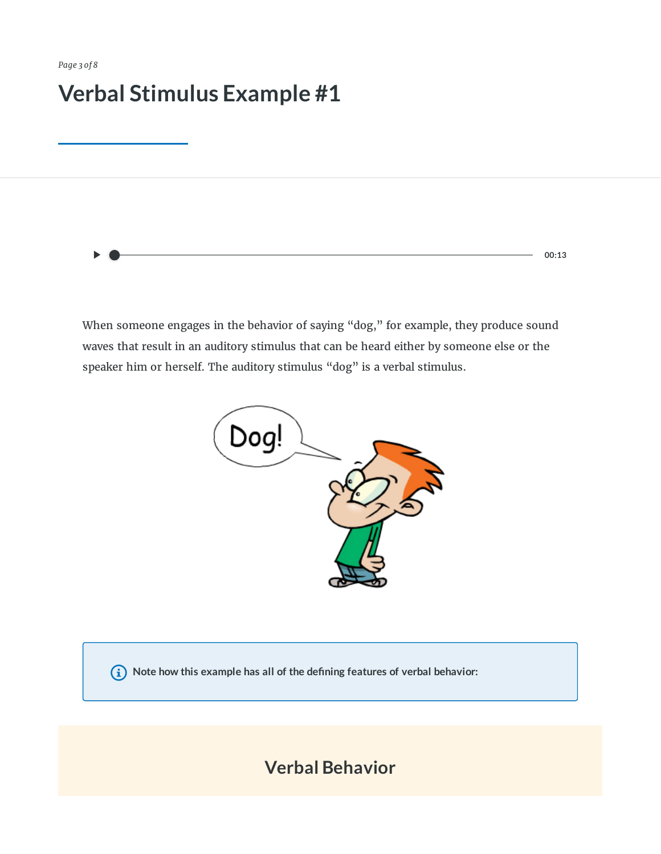## **Verbal Stimulus Example #1**

**00:13**

When someone engages in the behavior of saying "dog," for example, they produce sound waves that result in an auditory stimulus that can be heard either by someone else or the speaker him or herself. The auditory stimulus "dog" is a verbal stimulus.



**Note how this example has all of the dening features of verbal behavior:**

**Verbal Behavior**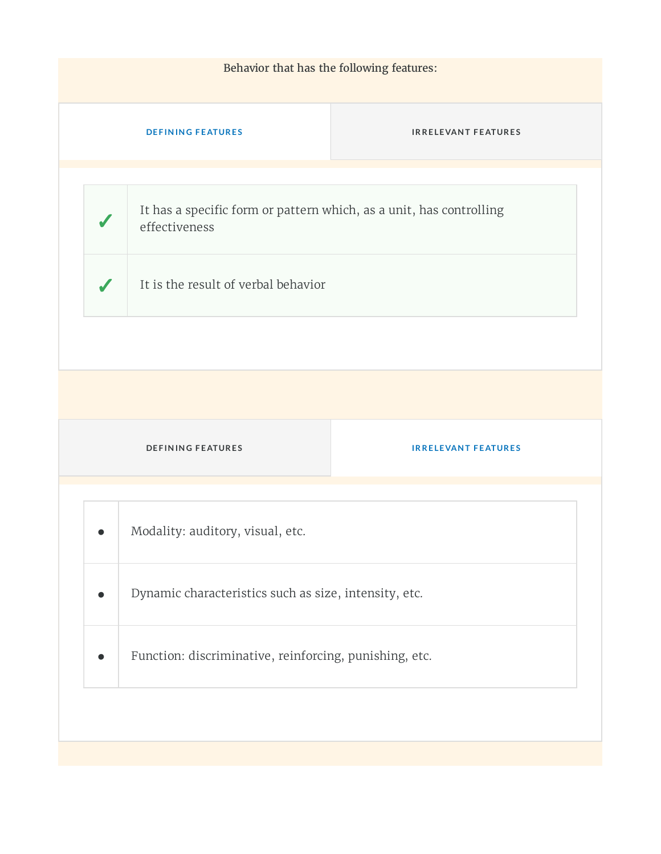|   |                                                                                      | Behavior that has the following features: |
|---|--------------------------------------------------------------------------------------|-------------------------------------------|
|   | <b>DEFINING FEATURES</b>                                                             | <b>IRRELEVANT FEATURES</b>                |
|   |                                                                                      |                                           |
|   | It has a specific form or pattern which, as a unit, has controlling<br>effectiveness |                                           |
| J | It is the result of verbal behavior                                                  |                                           |
|   |                                                                                      |                                           |
|   |                                                                                      |                                           |
|   | <b>DEFINING FEATURES</b>                                                             | <b>IRRELEVANT FEATURES</b>                |
|   |                                                                                      |                                           |
|   | Modality: auditory, visual, etc.                                                     |                                           |
|   | Dynamic characteristics such as size, intensity, etc.                                |                                           |
|   | Function: discriminative, reinforcing, punishing, etc.                               |                                           |
|   |                                                                                      |                                           |
|   |                                                                                      |                                           |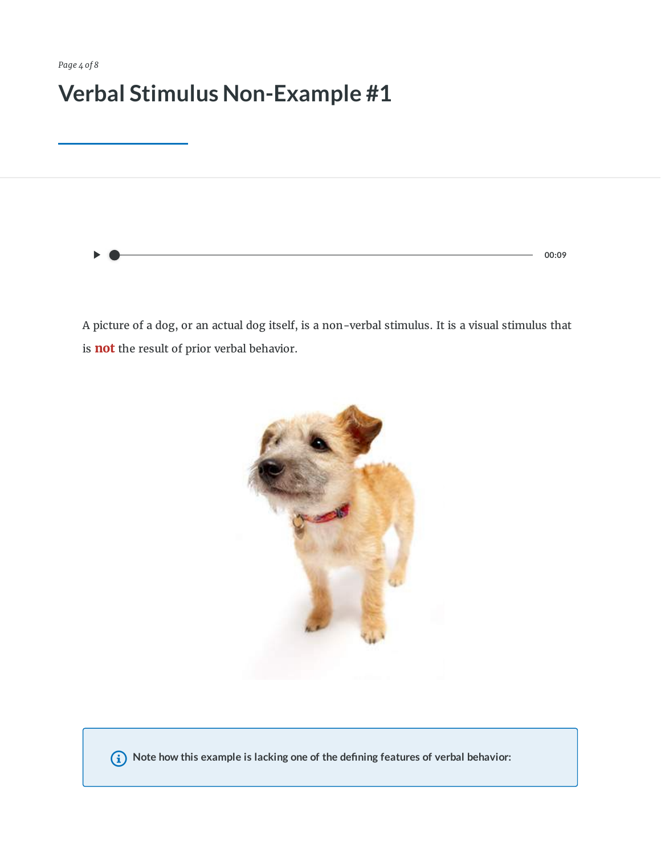*Page 4 of 8*

# **Verbal Stimulus Non-Example #1**

**00:09**

A picture of a dog, or an actual dog itself, is a non-verbal stimulus. It is a visual stimulus that is **not** the result of prior verbal behavior.



**Note how this example is lacking one of the dening features of verbal behavior:**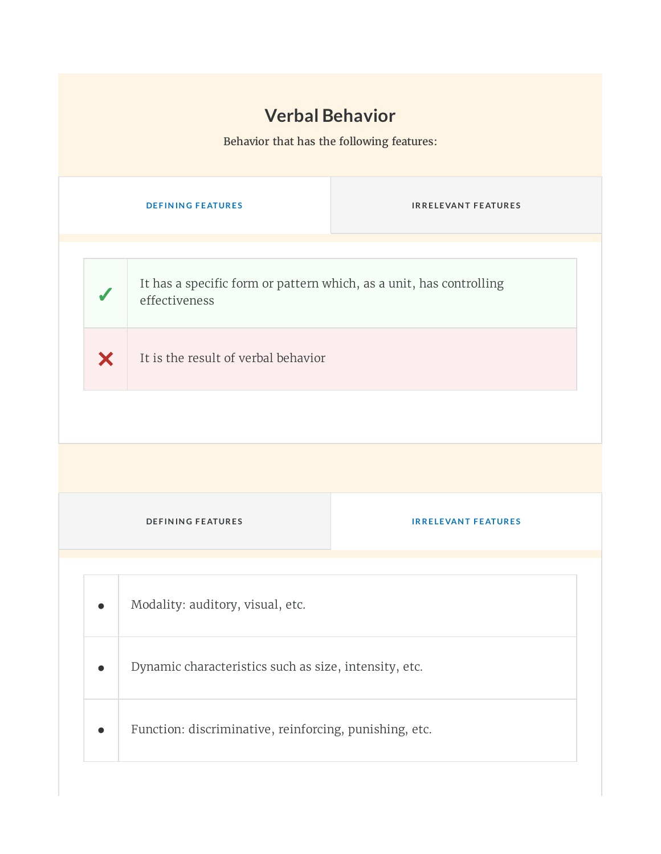## **Verbal Behavior**

Behavior that has the following features:

|   | <b>DEFINING FEATURES</b>                                                             | <b>IRRELEVANT FEATURES</b> |
|---|--------------------------------------------------------------------------------------|----------------------------|
|   |                                                                                      |                            |
|   | It has a specific form or pattern which, as a unit, has controlling<br>effectiveness |                            |
| X | It is the result of verbal behavior                                                  |                            |
|   |                                                                                      |                            |
|   |                                                                                      |                            |
|   | <b>DEFINING FEATURES</b>                                                             | <b>IRRELEVANT FEATURES</b> |
|   |                                                                                      |                            |
|   | Modality: auditory, visual, etc.                                                     |                            |
|   | Dynamic characteristics such as size, intensity, etc.                                |                            |
| ● | Function: discriminative, reinforcing, punishing, etc.                               |                            |
|   |                                                                                      |                            |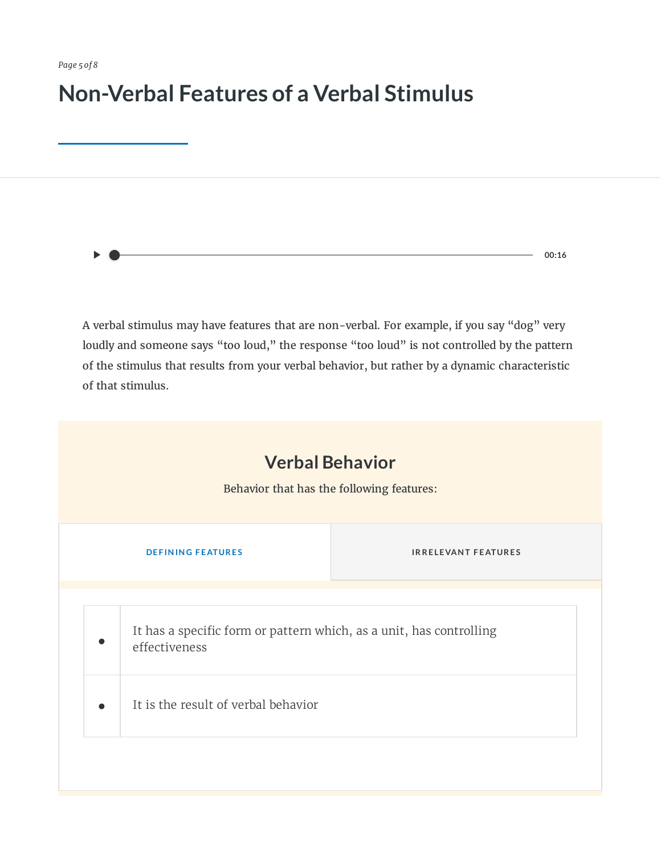## **Non-Verbal Features of a Verbal Stimulus**

A verbal stimulus may have features that are non-verbal. For example, if you say "dog" very

**00:16**

loudly and someone says "too loud," the response "too loud" is not controlled by the pattern of the stimulus that results from your verbal behavior, but rather by a dynamic characteristic of that stimulus.

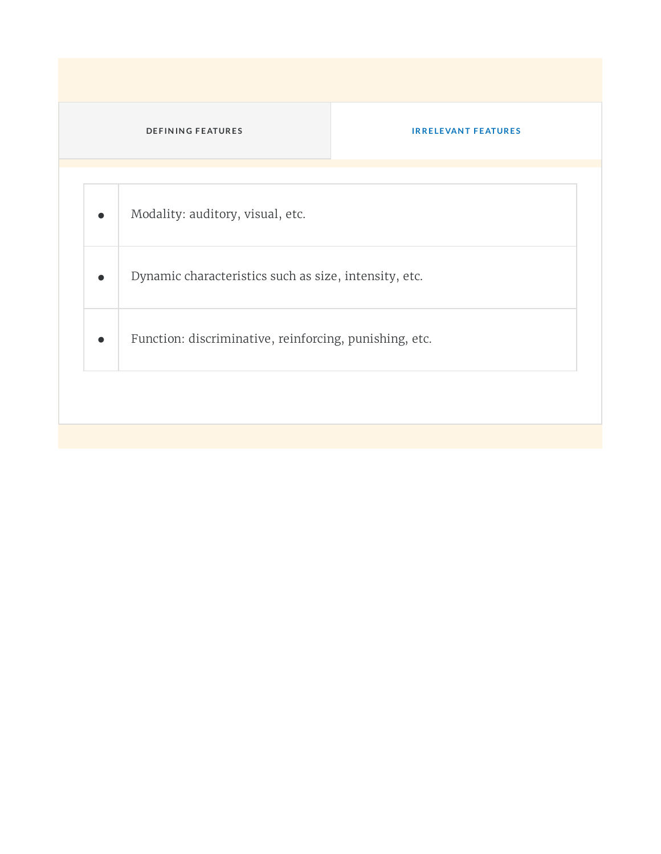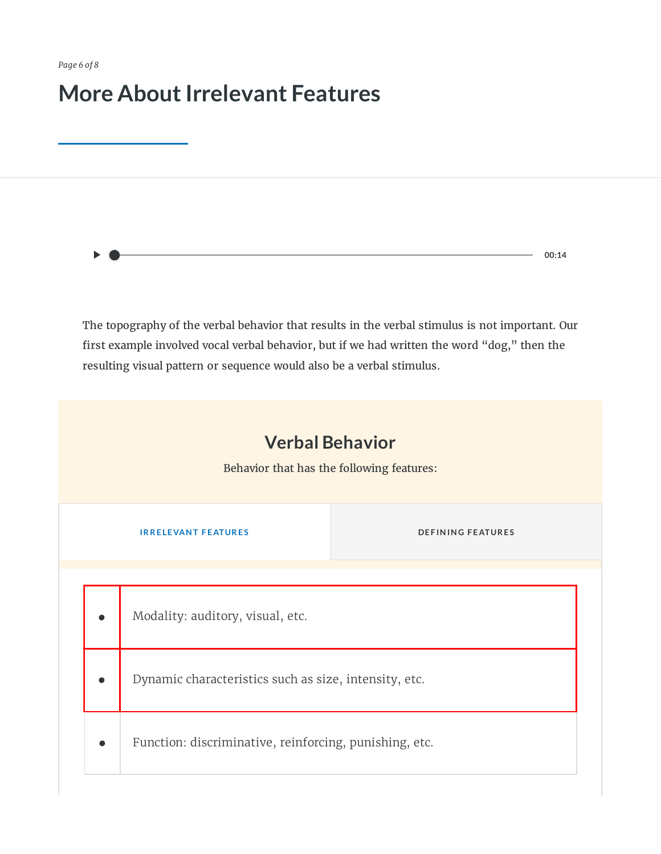*Page 6 of 8*

## **More About Irrelevant Features**

**00:14**

The topography of the verbal behavior that results in the verbal stimulus is not important. Our first example involved vocal verbal behavior, but if we had written the word "dog," then the resulting visual pattern or sequence would also be a verbal stimulus.

## **Verbal Behavior**

Behavior that has the following features:

|           | <b>IRRELEVANT FEATURES</b>                             | <b>DEFINING FEATURES</b> |
|-----------|--------------------------------------------------------|--------------------------|
|           |                                                        |                          |
| $\bullet$ | Modality: auditory, visual, etc.                       |                          |
|           | Dynamic characteristics such as size, intensity, etc.  |                          |
| $\bullet$ | Function: discriminative, reinforcing, punishing, etc. |                          |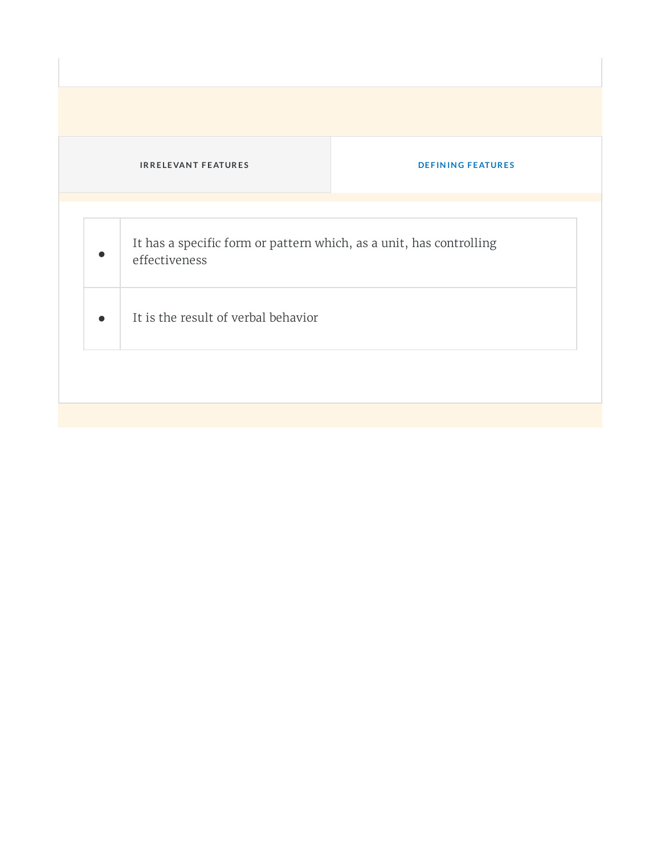|           | <b>IRRELEVANT FEATURES</b>                                                           | <b>DEFINING FEATURES</b> |
|-----------|--------------------------------------------------------------------------------------|--------------------------|
|           |                                                                                      |                          |
|           | It has a specific form or pattern which, as a unit, has controlling<br>effectiveness |                          |
| $\bullet$ | It is the result of verbal behavior                                                  |                          |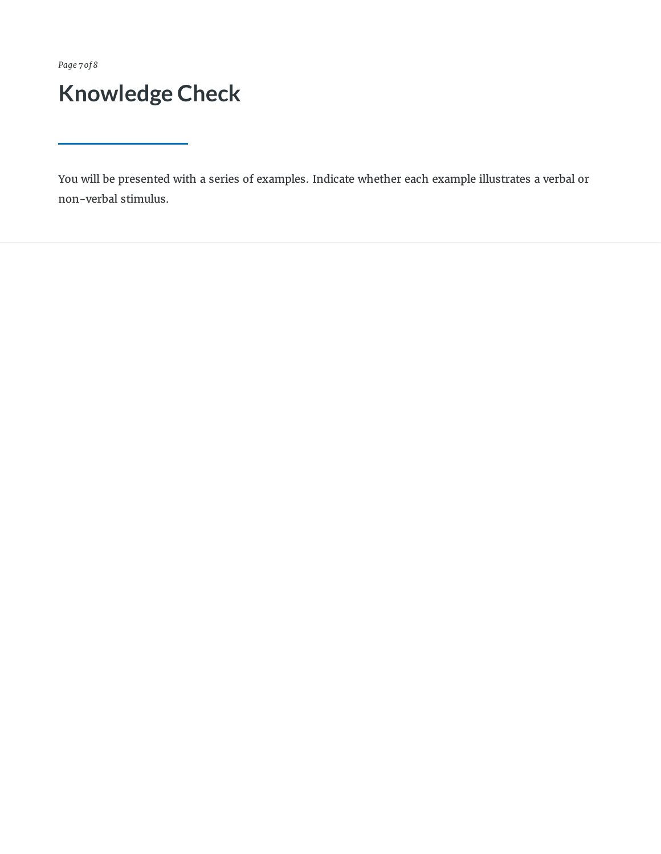*Page 7 of 8*

## **Knowledge Check**

You will be presented with a series of examples. Indicate whether each example illustrates a verbal or non-verbal stimulus.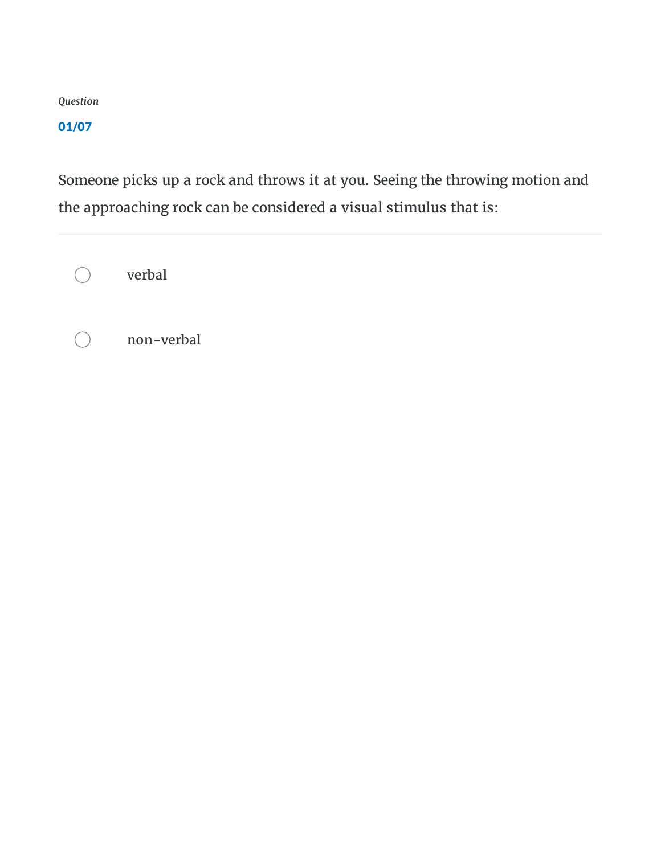01/07

Someone picks up a rock and throws it at you. Seeing the throwing motion and the approaching rock can be considered a visual stimulus that is:

verbal  $\bigcap$ 

non-verbal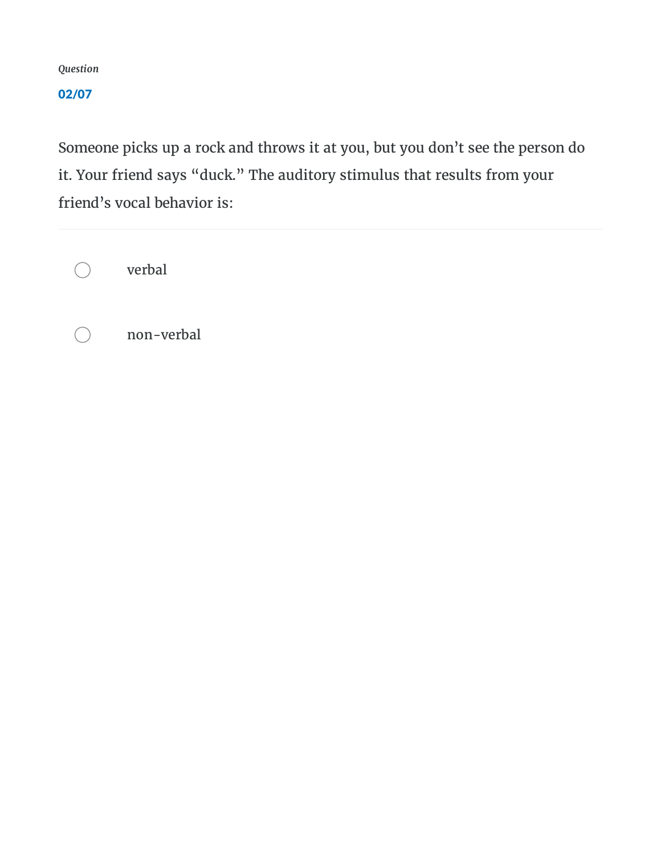#### 02/07

Someone picks up a rock and throws it at you, but you don't see the person do it. Your friend says "duck." The auditory stimulus that results from your friend's vocal behavior is:

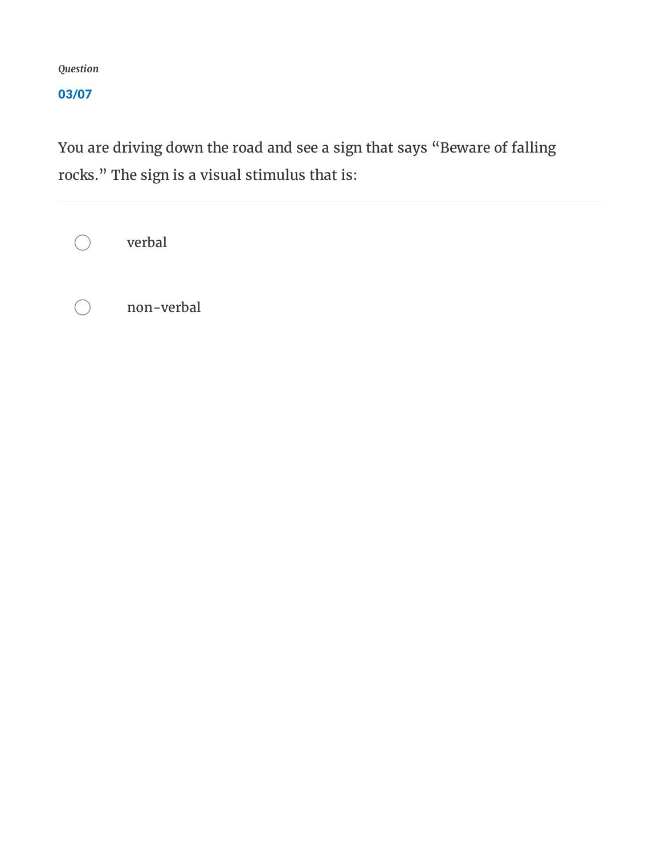03/07

You are driving down the road and see a sign that says "Beware of falling rocks." The sign is a visual stimulus that is:

verbal  $( )$ non-verbal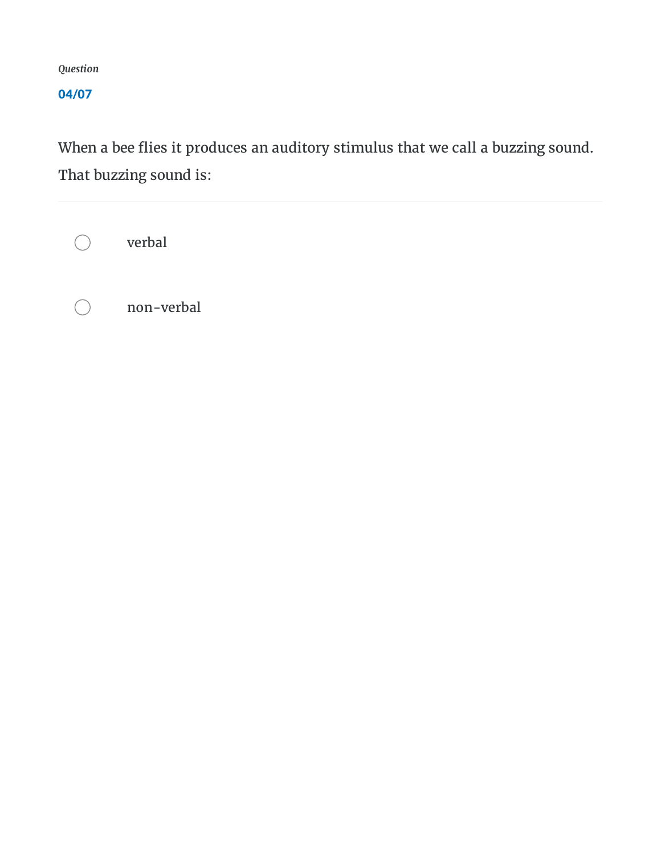04/07

When a bee flies it produces an auditory stimulus that we call a buzzing sound. That buzzing sound is:

verbal  $\bigcirc$ non-verbal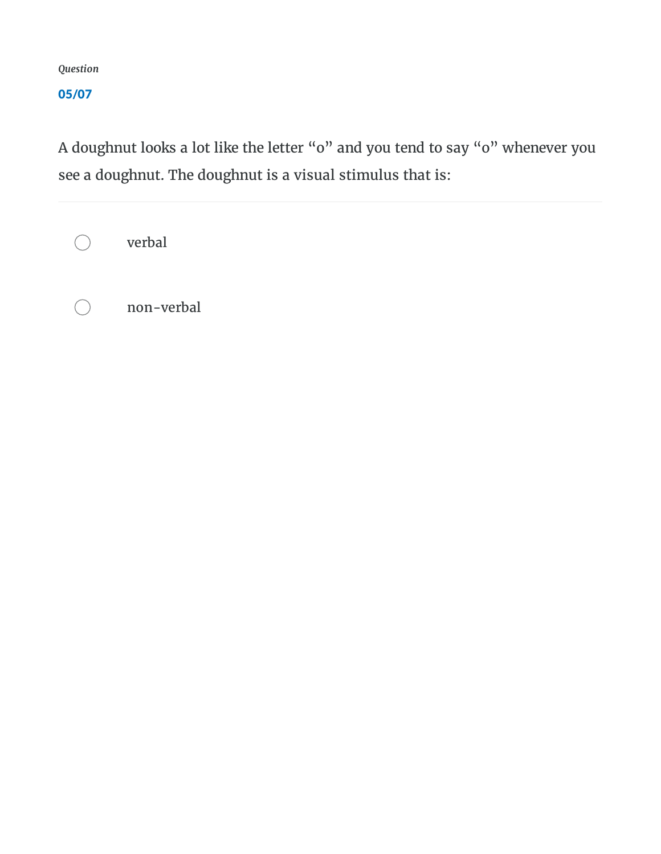05/07

A doughnut looks a lot like the letter "o" and you tend to say "o" whenever you see a doughnut. The doughnut is a visual stimulus that is:

verbal  $( )$ non-verbal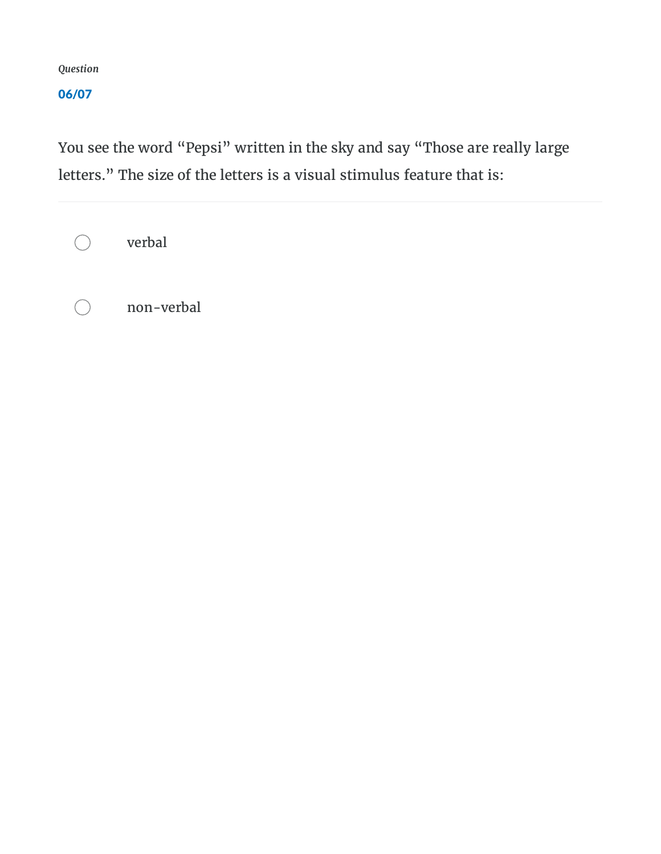06/07

You see the word "Pepsi" written in the sky and say "Those are really large letters." The size of the letters is a visual stimulus feature that is:

verbal  $\bigcirc$ non-verbal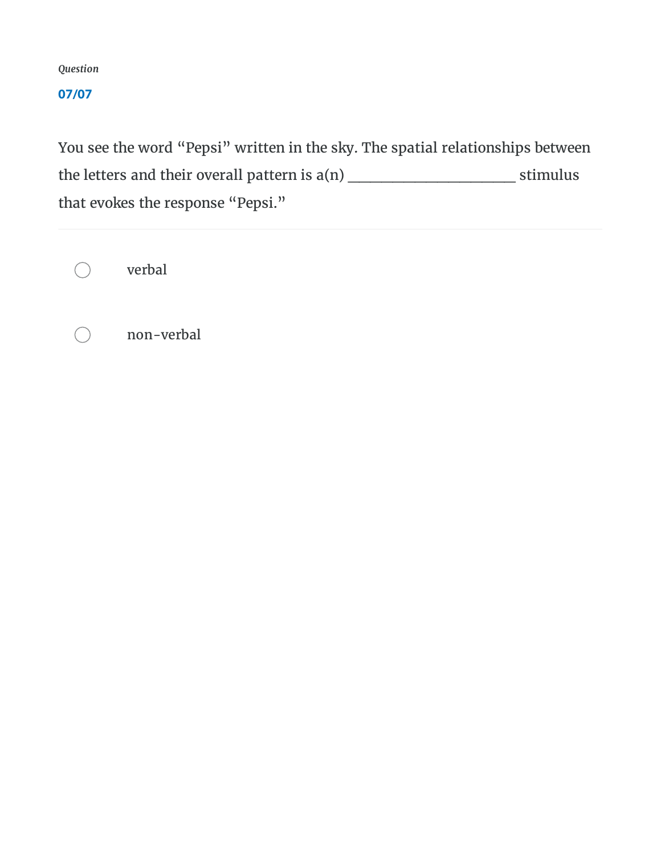#### 07/07

You see the word "Pepsi" written in the sky. The spatial relationships between the letters and their overall pattern is a(n) \_\_\_\_\_\_\_\_\_\_\_\_\_\_\_ stimulus that evokes the response "Pepsi."

verbal  $($ 

non-verbal $($